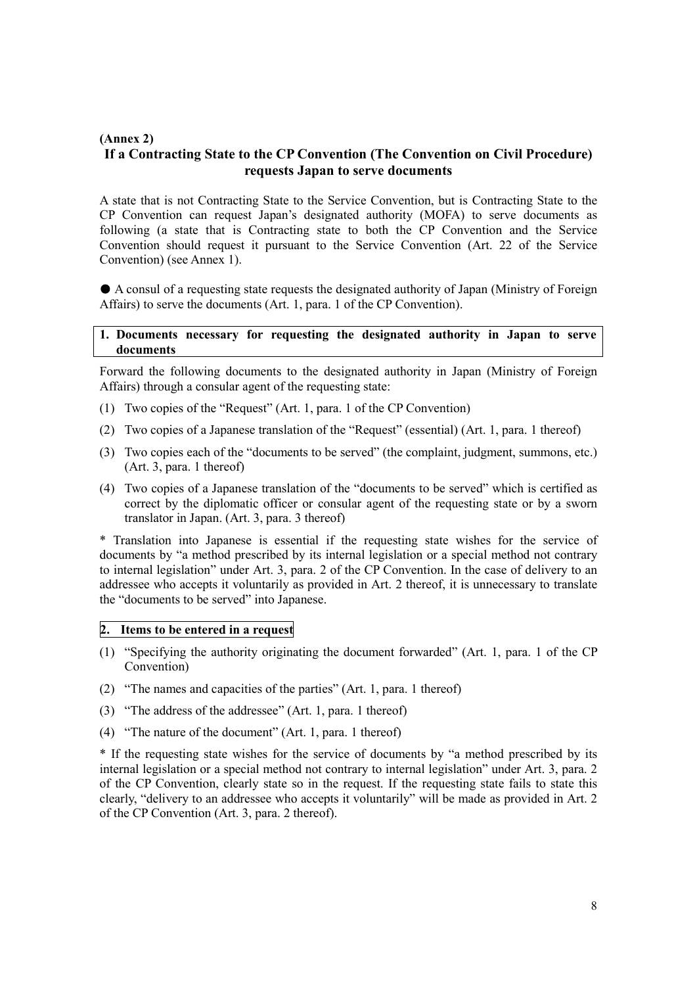## **(Annex 2) If a Contracting State to the CP Convention (The Convention on Civil Procedure) requests Japan to serve documents**

A state that is not Contracting State to the Service Convention, but is Contracting State to the CP Convention can request Japan's designated authority (MOFA) to serve documents as following (a state that is Contracting state to both the CP Convention and the Service Convention should request it pursuant to the Service Convention (Art. 22 of the Service Convention) (see Annex 1).

A consul of a requesting state requests the designated authority of Japan (Ministry of Foreign Affairs) to serve the documents (Art. 1, para. 1 of the CP Convention).

### **1. Documents necessary for requesting the designated authority in Japan to serve documents**

Forward the following documents to the designated authority in Japan (Ministry of Foreign Affairs) through a consular agent of the requesting state:

- (1) Two copies of the "Request" (Art. 1, para. 1 of the CP Convention)
- (2) Two copies of a Japanese translation of the "Request" (essential) (Art. 1, para. 1 thereof)
- (3) Two copies each of the "documents to be served" (the complaint, judgment, summons, etc.) (Art. 3, para. 1 thereof)
- (4) Two copies of a Japanese translation of the "documents to be served" which is certified as correct by the diplomatic officer or consular agent of the requesting state or by a sworn translator in Japan. (Art. 3, para. 3 thereof)

\* Translation into Japanese is essential if the requesting state wishes for the service of documents by "a method prescribed by its internal legislation or a special method not contrary to internal legislation" under Art. 3, para. 2 of the CP Convention. In the case of delivery to an addressee who accepts it voluntarily as provided in Art. 2 thereof, it is unnecessary to translate the "documents to be served" into Japanese.

#### **2. Items to be entered in a request**

- (1) "Specifying the authority originating the document forwarded" (Art. 1, para. 1 of the CP Convention)
- (2) "The names and capacities of the parties" (Art. 1, para. 1 thereof)
- (3) "The address of the addressee" (Art. 1, para. 1 thereof)
- (4) "The nature of the document" (Art. 1, para. 1 thereof)

\* If the requesting state wishes for the service of documents by "a method prescribed by its internal legislation or a special method not contrary to internal legislation" under Art. 3, para. 2 of the CP Convention, clearly state so in the request. If the requesting state fails to state this clearly, "delivery to an addressee who accepts it voluntarily" will be made as provided in Art. 2 of the CP Convention (Art. 3, para. 2 thereof).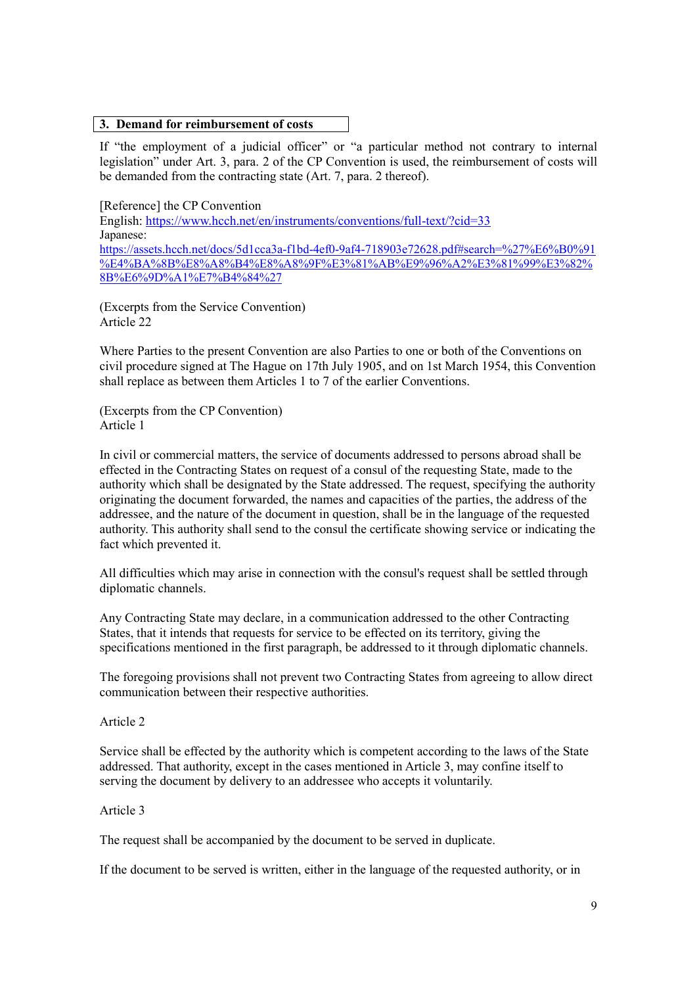### **3. Demand for reimbursement of costs**

If "the employment of a judicial officer" or "a particular method not contrary to internal legislation" under Art. 3, para. 2 of the CP Convention is used, the reimbursement of costs will be demanded from the contracting state (Art. 7, para. 2 thereof).

[Reference] the CP Convention English: https://www.hcch.net/en/instruments/conventions/full-text/?cid=33 Japanese: https://assets.hcch.net/docs/5d1cca3a-f1bd-4ef0-9af4-718903e72628.pdf#search=%27%E6%B0%91 %E4%BA%8B%E8%A8%B4%E8%A8%9F%E3%81%AB%E9%96%A2%E3%81%99%E3%82% 8B%E6%9D%A1%E7%B4%84%27

(Excerpts from the Service Convention) Article 22

Where Parties to the present Convention are also Parties to one or both of the Conventions on civil procedure signed at The Hague on 17th July 1905, and on 1st March 1954, this Convention shall replace as between them Articles 1 to 7 of the earlier Conventions.

(Excerpts from the CP Convention) Article 1

In civil or commercial matters, the service of documents addressed to persons abroad shall be effected in the Contracting States on request of a consul of the requesting State, made to the authority which shall be designated by the State addressed. The request, specifying the authority originating the document forwarded, the names and capacities of the parties, the address of the addressee, and the nature of the document in question, shall be in the language of the requested authority. This authority shall send to the consul the certificate showing service or indicating the fact which prevented it.

All difficulties which may arise in connection with the consul's request shall be settled through diplomatic channels.

Any Contracting State may declare, in a communication addressed to the other Contracting States, that it intends that requests for service to be effected on its territory, giving the specifications mentioned in the first paragraph, be addressed to it through diplomatic channels.

The foregoing provisions shall not prevent two Contracting States from agreeing to allow direct communication between their respective authorities.

Article 2

Service shall be effected by the authority which is competent according to the laws of the State addressed. That authority, except in the cases mentioned in Article 3, may confine itself to serving the document by delivery to an addressee who accepts it voluntarily.

### Article 3

The request shall be accompanied by the document to be served in duplicate.

If the document to be served is written, either in the language of the requested authority, or in